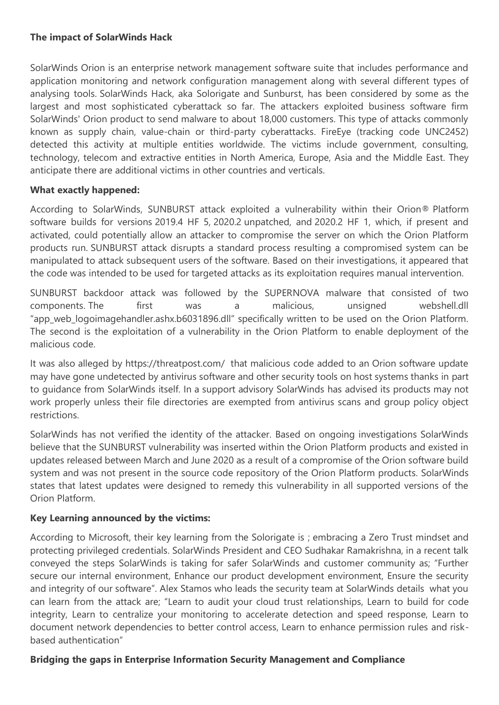## **The impact of SolarWinds Hack**

SolarWinds Orion is an enterprise network management software suite that includes performance and application monitoring and network configuration management along with several different types of analysing tools. SolarWinds Hack, aka Solorigate and Sunburst, has been considered by some as the largest and most sophisticated cyberattack so far. The attackers exploited business software firm SolarWinds' Orion product to send malware to about 18,000 customers. This type of attacks commonly known as supply chain, value-chain or third-party cyberattacks. FireEye (tracking code UNC2452) detected this activity at multiple entities worldwide. The victims include government, consulting, technology, telecom and extractive entities in North America, Europe, Asia and the Middle East. They anticipate there are additional victims in other countries and verticals.

## **What exactly happened:**

According to SolarWinds, SUNBURST attack exploited a vulnerability within their Orion® Platform software builds for versions 2019.4 HF 5, 2020.2 unpatched, and 2020.2 HF 1, which, if present and activated, could potentially allow an attacker to compromise the server on which the Orion Platform products run. SUNBURST attack disrupts a standard process resulting a compromised system can be manipulated to attack subsequent users of the software. Based on their investigations, it appeared that the code was intended to be used for targeted attacks as its exploitation requires manual intervention.

SUNBURST backdoor attack was followed by the SUPERNOVA malware that consisted of two components. The first was a malicious, unsigned webshell.dll "app web logoimagehandler.ashx.b6031896.dll" specifically written to be used on the Orion Platform. The second is the exploitation of a vulnerability in the Orion Platform to enable deployment of the malicious code.

It was also alleged by https://threatpost.com/ that malicious code added to an Orion software update may have gone undetected by antivirus software and other security tools on host systems thanks in part to guidance from SolarWinds itself. In [a support advisory](https://support.solarwinds.com/SuccessCenter/s/article/Files-and-directories-to-exclude-from-antivirus-scanning-for-Orion-Platform-products?language=en_US) SolarWinds has advised its products may not work properly unless their file directories are exempted from antivirus scans and group policy object restrictions.

SolarWinds has not verified the identity of the attacker. Based on ongoing investigations SolarWinds believe that the SUNBURST vulnerability was inserted within the Orion Platform products and existed in updates released between March and June 2020 as a result of a compromise of the Orion software build system and was not present in the source code repository of the Orion Platform products. SolarWinds states that latest updates were designed to remedy this vulnerability in all supported versions of the Orion Platform.

## **Key Learning announced by the victims:**

According to Microsoft, their key learning from the Solorigate is ; embracing a Zero Trust mindset and protecting privileged credentials. SolarWinds President and CEO Sudhakar Ramakrishna, in a recent talk conveyed the steps SolarWinds is taking for safer SolarWinds and customer community as; "Further secure our internal environment, Enhance our product development environment, Ensure the security and integrity of our software". Alex Stamos who leads the security team at SolarWinds details what you can learn from the attack are; "Learn to audit your cloud trust relationships, Learn to build for code integrity, Learn to centralize your monitoring to accelerate detection and speed response, Learn to document network dependencies to better control access, Learn to enhance permission rules and riskbased authentication"

## **Bridging the gaps in Enterprise Information Security Management and Compliance**